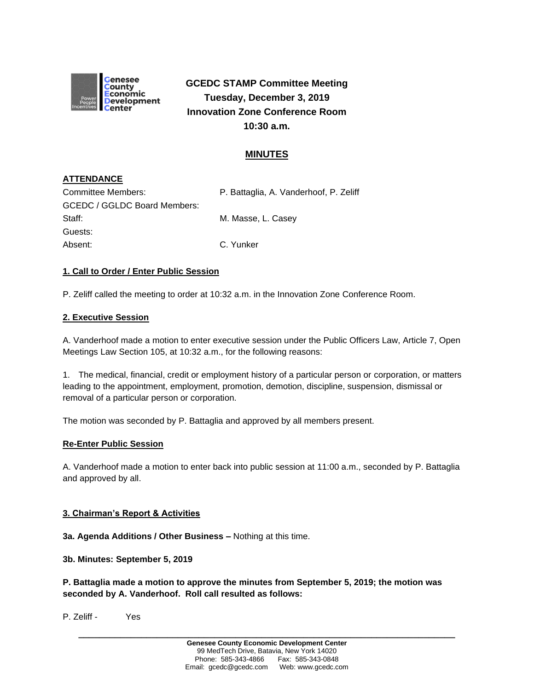

**GCEDC STAMP Committee Meeting Tuesday, December 3, 2019 Innovation Zone Conference Room 10:30 a.m.**

# **MINUTES**

## **ATTENDANCE**

| Committee Members:                  | P. Battaglia, A. Vanderhoof, P. Zeliff |
|-------------------------------------|----------------------------------------|
| <b>GCEDC / GGLDC Board Members:</b> |                                        |
| Staff:                              | M. Masse, L. Casev                     |
| Guests:                             |                                        |
| Absent:                             | C. Yunker                              |

## **1. Call to Order / Enter Public Session**

P. Zeliff called the meeting to order at 10:32 a.m. in the Innovation Zone Conference Room.

### **2. Executive Session**

A. Vanderhoof made a motion to enter executive session under the Public Officers Law, Article 7, Open Meetings Law Section 105, at 10:32 a.m., for the following reasons:

1. The medical, financial, credit or employment history of a particular person or corporation, or matters leading to the appointment, employment, promotion, demotion, discipline, suspension, dismissal or removal of a particular person or corporation.

The motion was seconded by P. Battaglia and approved by all members present.

### **Re-Enter Public Session**

A. Vanderhoof made a motion to enter back into public session at 11:00 a.m., seconded by P. Battaglia and approved by all.

### **3. Chairman's Report & Activities**

**3a. Agenda Additions / Other Business –** Nothing at this time.

**3b. Minutes: September 5, 2019** 

**P. Battaglia made a motion to approve the minutes from September 5, 2019; the motion was seconded by A. Vanderhoof. Roll call resulted as follows:**

P. Zeliff - Yes